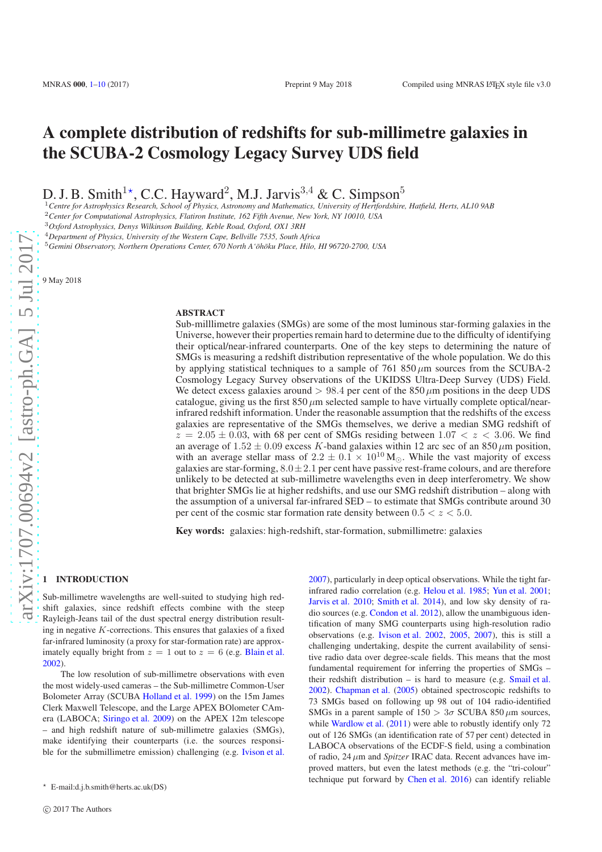# A complete distribution of redshifts for sub-millimetre galaxies in the SCUBA-2 Cosmology Legacy Survey UDS field

D. J. B. Smith<sup>1\*</sup>, C.C. Hayward<sup>2</sup>, M.J. Jarvis<sup>3,4</sup> & C. Simpson<sup>5</sup>

<sup>1</sup>*Centre for Astrophysics Research, School of Physics, Astronomy and Mathematics, University of Hertfordshire, Hatfield, Herts, AL10 9AB*

<sup>2</sup>*Center for Computational Astrophysics, Flatiron Institute, 162 Fifth Avenue, New York, NY 10010, USA*

<sup>3</sup>*Oxford Astrophysics, Denys Wilkinson Building, Keble Road, Oxford, OX1 3RH*

<sup>4</sup>*Department of Physics, University of the Western Cape, Bellville 7535, South Africa*

<sup>5</sup>*Gemini Observatory, Northern Operations Center, 670 North A'¯oh¯oku Place, Hilo, HI 96720-2700, USA*

9 May 2018

#### **ABSTRACT**

Sub-milllimetre galaxies (SMGs) are some of the most luminous star-forming galaxies in the Universe, however their properties remain hard to determine due to the difficulty of identifying their optical/near-infrared counterparts. One of the key steps to determining the nature of SMGs is measuring a redshift distribution representative of the whole population. We do this by applying statistical techniques to a sample of 761 850  $\mu$ m sources from the SCUBA-2 Cosmology Legacy Survey observations of the UKIDSS Ultra-Deep Survey (UDS) Field. We detect excess galaxies around  $> 98.4$  per cent of the 850  $\mu$ m positions in the deep UDS catalogue, giving us the first  $850 \mu m$  selected sample to have virtually complete optical/nearinfrared redshift information. Under the reasonable assumption that the redshifts of the excess galaxies are representative of the SMGs themselves, we derive a median SMG redshift of  $z = 2.05 \pm 0.03$ , with 68 per cent of SMGs residing between 1.07  $\lt z \lt 3.06$ . We find an average of  $1.52 \pm 0.09$  excess K-band galaxies within 12 arc sec of an 850  $\mu$ m position, with an average stellar mass of  $2.2 \pm 0.1 \times 10^{10}$  M<sub>☉</sub>. While the vast majority of excess galaxies are star-forming,  $8.0 \pm 2.1$  per cent have passive rest-frame colours, and are therefore unlikely to be detected at sub-millimetre wavelengths even in deep interferometry. We show that brighter SMGs lie at higher redshifts, and use our SMG redshift distribution – along with the assumption of a universal far-infrared SED – to estimate that SMGs contribute around 30 per cent of the cosmic star formation rate density between  $0.5 < z < 5.0$ .

Key words: galaxies: high-redshift, star-formation, submillimetre: galaxies

#### <span id="page-0-0"></span>1 INTRODUCTION

Sub-millimetre wavelengths are well-suited to studying high redshift galaxies, since redshift effects combine with the steep Rayleigh-Jeans tail of the dust spectral energy distribution resulting in negative  $K$ -corrections. This ensures that galaxies of a fixed far-infrared luminosity (a proxy for star-formation rate) are approximately equally bright from  $z = 1$  out to  $z = 6$  (e.g. [Blain et al.](#page-8-1) [2002](#page-8-1)).

The low resolution of sub-millimetre observations with even the most widely-used cameras – the Sub-millimetre Common-User Bolometer Array (SCUBA [Holland et al. 1999](#page-9-0)) on the 15m James Clerk Maxwell Telescope, and the Large APEX BOlometer CAmera (LABOCA; [Siringo et al. 2009](#page-9-1)) on the APEX 12m telescope – and high redshift nature of sub-millimetre galaxies (SMGs), make identifying their counterparts (i.e. the sources responsible for the submillimetre emission) challenging (e.g. [Ivison et al.](#page-9-2)

[2007](#page-9-2)), particularly in deep optical observations. While the tight farinfrared radio correlation (e.g. [Helou et al. 1985](#page-9-3); [Yun et al. 2001;](#page-9-4) [Jarvis et al. 2010](#page-9-5); [Smith et al. 2014\)](#page-9-6), and low sky density of radio sources (e.g. [Condon et al. 2012](#page-8-2)), allow the unambiguous identification of many SMG counterparts using high-resolution radio observations (e.g. [Ivison et al. 2002](#page-9-7), [2005](#page-9-8), [2007](#page-9-2)), this is still a challenging undertaking, despite the current availability of sensitive radio data over degree-scale fields. This means that the most fundamental requirement for inferring the properties of SMGs – their redshift distribution – is hard to measure (e.g. [Smail et al.](#page-9-9) [2002](#page-9-9)). [Chapman et al.](#page-8-3) [\(2005](#page-8-3)) obtained spectroscopic redshifts to 73 SMGs based on following up 98 out of 104 radio-identified SMGs in a parent sample of  $150 > 3\sigma$  SCUBA 850  $\mu$ m sources, while [Wardlow et al.](#page-9-10) [\(2011\)](#page-9-10) were able to robustly identify only 72 out of 126 SMGs (an identification rate of 57 per cent) detected in LABOCA observations of the ECDF-S field, using a combination of radio,  $24 \mu m$  and *Spitzer* IRAC data. Recent advances have improved matters, but even the latest methods (e.g. the "tri-colour" technique put forward by [Chen et al. 2016](#page-8-4)) can identify reliable

 $\star$  E-mail:d.j.b.smith@herts.ac.uk(DS)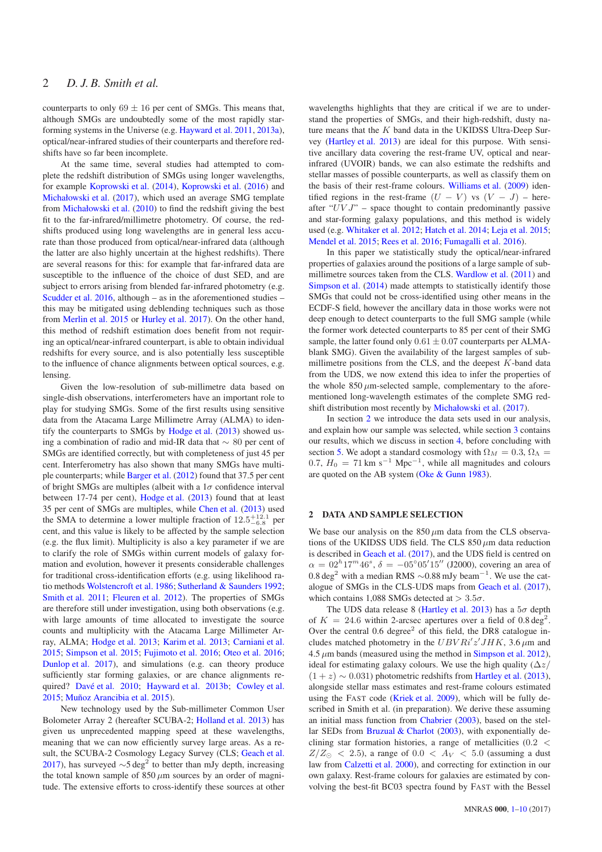counterparts to only  $69 \pm 16$  per cent of SMGs. This means that, although SMGs are undoubtedly some of the most rapidly starforming systems in the Universe (e.g. [Hayward et al. 2011,](#page-9-11) [2013a](#page-9-12)), optical/near-infrared studies of their counterparts and therefore redshifts have so far been incomplete.

At the same time, several studies had attempted to complete the redshift distribution of SMGs using longer wavelengths, for example [Koprowski et al.](#page-9-13) [\(2014](#page-9-13)), [Koprowski et al.](#page-9-14) [\(2016](#page-9-14)) and [Michałowski et al.](#page-9-15) [\(2017](#page-9-15)), which used an average SMG template from [Michałowski et al.](#page-9-16) [\(2010](#page-9-16)) to find the redshift giving the best fit to the far-infrared/millimetre photometry. Of course, the redshifts produced using long wavelengths are in general less accurate than those produced from optical/near-infrared data (although the latter are also highly uncertain at the highest redshifts). There are several reasons for this: for example that far-infrared data are susceptible to the influence of the choice of dust SED, and are subject to errors arising from blended far-infrared photometry (e.g. [Scudder et al. 2016](#page-9-17), although – as in the aforementioned studies – this may be mitigated using deblending techniques such as those from [Merlin et al. 2015](#page-9-18) or [Hurley et al. 2017](#page-9-19)). On the other hand, this method of redshift estimation does benefit from not requiring an optical/near-infrared counterpart, is able to obtain individual redshifts for every source, and is also potentially less susceptible to the influence of chance alignments between optical sources, e.g. lensing.

Given the low-resolution of sub-millimetre data based on single-dish observations, interferometers have an important role to play for studying SMGs. Some of the first results using sensitive data from the Atacama Large Millimetre Array (ALMA) to identify the counterparts to SMGs by [Hodge et al.](#page-9-20) [\(2013](#page-9-20)) showed using a combination of radio and mid-IR data that ∼ 80 per cent of SMGs are identified correctly, but with completeness of just 45 per cent. Interferometry has also shown that many SMGs have multiple counterparts; while [Barger et al.](#page-8-5) [\(2012](#page-8-5)) found that 37.5 per cent of bright SMGs are multiples (albeit with a  $1\sigma$  confidence interval between 17-74 per cent), [Hodge et al.](#page-9-20) [\(2013\)](#page-9-20) found that at least 35 per cent of SMGs are multiples, while [Chen et al.](#page-8-6) [\(2013\)](#page-8-6) used the SMA to determine a lower multiple fraction of  $12.5^{+12.1}_{-6.8}$  per cent, and this value is likely to be affected by the sample selection (e.g. the flux limit). Multiplicity is also a key parameter if we are to clarify the role of SMGs within current models of galaxy formation and evolution, however it presents considerable challenges for traditional cross-identification efforts (e.g. using likelihood ratio methods [Wolstencroft et al. 1986](#page-9-21); [Sutherland & Saunders 1992;](#page-9-22) [Smith et al. 2011](#page-9-23); [Fleuren et al. 2012](#page-9-24)). The properties of SMGs are therefore still under investigation, using both observations (e.g. with large amounts of time allocated to investigate the source counts and multiplicity with the Atacama Large Millimeter Array, ALMA; [Hodge et al. 2013](#page-9-20); [Karim et al. 2013;](#page-9-25) [Carniani et al.](#page-8-7) [2015](#page-8-7); [Simpson et al. 2015](#page-9-26); [Fujimoto et al. 2016;](#page-9-27) [Oteo et al. 2016;](#page-9-28) [Dunlop et al. 2017](#page-9-29)), and simulations (e.g. can theory produce sufficiently star forming galaxies, or are chance alignments re-quired? Davé et al. 2010; [Hayward et al. 2013b](#page-9-31); [Cowley et al.](#page-9-32) [2015](#page-9-32); Muñoz Arancibia et al. 2015).

New technology used by the Sub-millimeter Common User Bolometer Array 2 (hereafter SCUBA-2; [Holland et al. 2013](#page-9-34)) has given us unprecedented mapping speed at these wavelengths, meaning that we can now efficiently survey large areas. As a re-sult, the SCUBA-2 Cosmology Legacy Survey (CLS; [Geach et al.](#page-9-35) [2017](#page-9-35)), has surveyed  $\sim$ 5 deg<sup>2</sup> to better than mJy depth, increasing the total known sample of  $850 \mu m$  sources by an order of magnitude. The extensive efforts to cross-identify these sources at other

wavelengths highlights that they are critical if we are to understand the properties of SMGs, and their high-redshift, dusty nature means that the  $K$  band data in the UKIDSS Ultra-Deep Survey [\(Hartley et al. 2013](#page-9-36)) are ideal for this purpose. With sensitive ancillary data covering the rest-frame UV, optical and nearinfrared (UVOIR) bands, we can also estimate the redshifts and stellar masses of possible counterparts, as well as classify them on the basis of their rest-frame colours. [Williams et al.](#page-9-37) [\(2009](#page-9-37)) identified regions in the rest-frame  $(U - V)$  vs  $(V - J)$  – hereafter " $UVJ$ " – space thought to contain predominantly passive and star-forming galaxy populations, and this method is widely used (e.g. [Whitaker et al. 2012](#page-9-38); [Hatch et al. 2014](#page-9-39); [Leja et al. 2015;](#page-9-40) [Mendel et al. 2015](#page-9-41); [Rees et al. 2016](#page-9-42); [Fumagalli et al. 2016](#page-9-43)).

In this paper we statistically study the optical/near-infrared properties of galaxies around the positions of a large sample of submillimetre sources taken from the CLS. [Wardlow et al.](#page-9-10) [\(2011\)](#page-9-10) and [Simpson et al.](#page-9-44) [\(2014\)](#page-9-44) made attempts to statistically identify those SMGs that could not be cross-identified using other means in the ECDF-S field, however the ancillary data in those works were not deep enough to detect counterparts to the full SMG sample (while the former work detected counterparts to 85 per cent of their SMG sample, the latter found only  $0.61 \pm 0.07$  counterparts per ALMAblank SMG). Given the availability of the largest samples of submillimetre positions from the CLS, and the deepest  $K$ -band data from the UDS, we now extend this idea to infer the properties of the whole  $850 \mu m$ -selected sample, complementary to the aforementioned long-wavelength estimates of the complete SMG redshift distribution most recently by [Michałowski et al.](#page-9-15) [\(2017](#page-9-15)).

In section [2](#page-1-0) we introduce the data sets used in our analysis, and explain how our sample was selected, while section [3](#page-2-0) contains our results, which we discuss in section [4,](#page-5-0) before concluding with section [5.](#page-8-0) We adopt a standard cosmology with  $\Omega_M = 0.3$ ,  $\Omega_{\Lambda} =$ 0.7,  $H_0 = 71 \text{ km s}^{-1} \text{ Mpc}^{-1}$ , while all magnitudes and colours are quoted on the AB system [\(Oke & Gunn 1983](#page-9-45)).

# <span id="page-1-0"></span>2 DATA AND SAMPLE SELECTION

We base our analysis on the  $850 \mu m$  data from the CLS observations of the UKIDSS UDS field. The CLS  $850 \mu m$  data reduction is described in [Geach et al.](#page-9-35) [\(2017](#page-9-35)), and the UDS field is centred on  $\alpha = 02^{h} 17^{m} 46^{s}$ ,  $\delta = -05^{\circ} 05' 15''$  (J2000), covering an area of 0.8 deg<sup>2</sup> with a median RMS  $\sim$ 0.88 mJy beam<sup>-1</sup>. We use the catalogue of SMGs in the CLS-UDS maps from [Geach et al.](#page-9-35) [\(2017](#page-9-35)), which contains 1,088 SMGs detected at  $> 3.5\sigma$ .

The UDS data release 8 [\(Hartley et al. 2013\)](#page-9-36) has a  $5\sigma$  depth of  $K = 24.6$  within 2-arcsec apertures over a field of 0.8 deg<sup>2</sup>. Over the central  $0.6 \text{ degree}^2$  of this field, the DR8 catalogue includes matched photometry in the  $UBVRi'z'JHK$ , 3.6  $\mu$ m and  $4.5 \mu m$  bands (measured using the method in [Simpson et al. 2012](#page-9-46)), ideal for estimating galaxy colours. We use the high quality  $(\Delta z)$  $(1 + z) \sim 0.031$ ) photometric redshifts from [Hartley et al.](#page-9-36) [\(2013](#page-9-36)), alongside stellar mass estimates and rest-frame colours estimated using the FAST code [\(Kriek et al. 2009\)](#page-9-47), which will be fully described in Smith et al. (in preparation). We derive these assuming an initial mass function from [Chabrier](#page-8-8) [\(2003\)](#page-8-8), based on the stellar SEDs from Bruzual  $&$  Charlot [\(2003](#page-8-9)), with exponentially declining star formation histories, a range of metallicities (0.2 <  $Z/Z_{\odot}$  < 2.5), a range of 0.0 <  $A_V$  < 5.0 (assuming a dust law from [Calzetti et al. 2000\)](#page-8-10), and correcting for extinction in our own galaxy. Rest-frame colours for galaxies are estimated by convolving the best-fit BC03 spectra found by FAST with the Bessel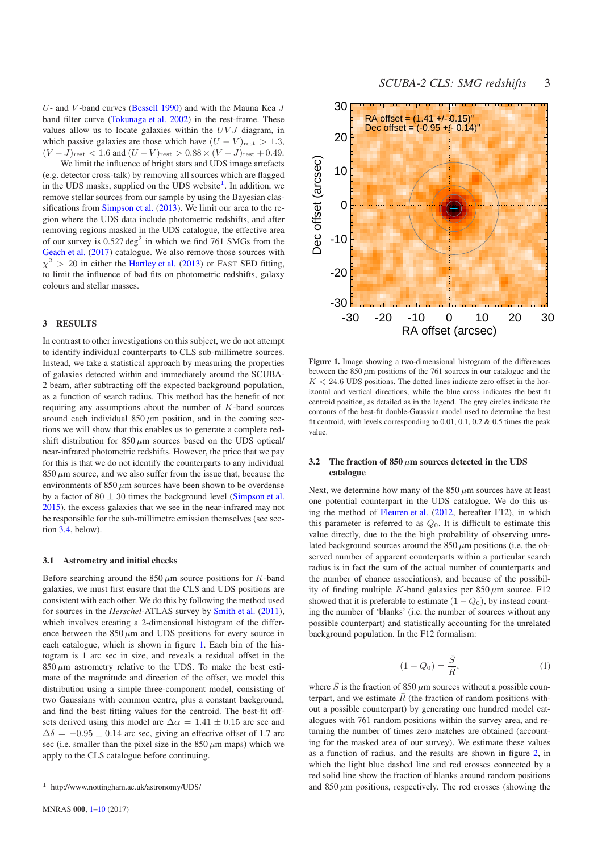$U$ - and  $V$ -band curves [\(Bessell 1990\)](#page-8-11) and with the Mauna Kea  $J$ band filter curve [\(Tokunaga et al. 2002\)](#page-9-48) in the rest-frame. These values allow us to locate galaxies within the  $UVJ$  diagram, in which passive galaxies are those which have  $(U - V)_{\text{rest}} > 1.3$ ,  $(V - J)_{\text{rest}} < 1.6$  and  $(U - V)_{\text{rest}} > 0.88 \times (V - J)_{\text{rest}} + 0.49$ .

We limit the influence of bright stars and UDS image artefacts (e.g. detector cross-talk) by removing all sources which are flagged in the UDS masks, supplied on the UDS website<sup>1</sup>. In addition, we remove stellar sources from our sample by using the Bayesian classifications from [Simpson et al.](#page-9-49) [\(2013](#page-9-49)). We limit our area to the region where the UDS data include photometric redshifts, and after removing regions masked in the UDS catalogue, the effective area of our survey is  $0.527 \text{ deg}^2$  in which we find 761 SMGs from the [Geach et al.](#page-9-35) [\(2017](#page-9-35)) catalogue. We also remove those sources with  $\chi^2$  > 20 in either the [Hartley et al.](#page-9-36) [\(2013](#page-9-36)) or FAST SED fitting, to limit the influence of bad fits on photometric redshifts, galaxy colours and stellar masses.

# <span id="page-2-0"></span>3 RESULTS

In contrast to other investigations on this subject, we do not attempt to identify individual counterparts to CLS sub-millimetre sources. Instead, we take a statistical approach by measuring the properties of galaxies detected within and immediately around the SCUBA-2 beam, after subtracting off the expected background population, as a function of search radius. This method has the benefit of not requiring any assumptions about the number of  $K$ -band sources around each individual  $850 \mu m$  position, and in the coming sections we will show that this enables us to generate a complete redshift distribution for  $850 \mu m$  sources based on the UDS optical/ near-infrared photometric redshifts. However, the price that we pay for this is that we do not identify the counterparts to any individual  $850 \mu m$  source, and we also suffer from the issue that, because the environments of  $850 \mu m$  sources have been shown to be overdense by a factor of  $80 \pm 30$  times the background level [\(Simpson et al.](#page-9-26) [2015](#page-9-26)), the excess galaxies that we see in the near-infrared may not be responsible for the sub-millimetre emission themselves (see section [3.4,](#page-4-0) below).

#### 3.1 Astrometry and initial checks

Before searching around the  $850 \mu m$  source positions for K-band galaxies, we must first ensure that the CLS and UDS positions are consistent with each other. We do this by following the method used for sources in the *Herschel*-ATLAS survey by [Smith et al.](#page-9-23) [\(2011](#page-9-23)), which involves creating a 2-dimensional histogram of the difference between the  $850 \mu m$  and UDS positions for every source in each catalogue, which is shown in figure [1.](#page-2-1) Each bin of the histogram is 1 arc sec in size, and reveals a residual offset in the  $850 \mu m$  astrometry relative to the UDS. To make the best estimate of the magnitude and direction of the offset, we model this distribution using a simple three-component model, consisting of two Gaussians with common centre, plus a constant background, and find the best fitting values for the centroid. The best-fit offsets derived using this model are  $\Delta \alpha = 1.41 \pm 0.15$  arc sec and  $\Delta\delta = -0.95 \pm 0.14$  arc sec, giving an effective offset of 1.7 arc sec (i.e. smaller than the pixel size in the  $850 \mu m$  maps) which we apply to the CLS catalogue before continuing.



<span id="page-2-1"></span>Figure 1. Image showing a two-dimensional histogram of the differences between the  $850 \mu m$  positions of the 761 sources in our catalogue and the  $K < 24.6$  UDS positions. The dotted lines indicate zero offset in the horizontal and vertical directions, while the blue cross indicates the best fit centroid position, as detailed as in the legend. The grey circles indicate the contours of the best-fit double-Gaussian model used to determine the best fit centroid, with levels corresponding to  $0.01$ ,  $0.1$ ,  $0.2 \& 0.5$  times the peak value.

## <span id="page-2-3"></span>3.2 The fraction of  $850 \mu m$  sources detected in the UDS catalogue

Next, we determine how many of the  $850 \mu m$  sources have at least one potential counterpart in the UDS catalogue. We do this using the method of [Fleuren et al.](#page-9-24) [\(2012,](#page-9-24) hereafter F12), in which this parameter is referred to as  $Q_0$ . It is difficult to estimate this value directly, due to the the high probability of observing unrelated background sources around the  $850 \mu m$  positions (i.e. the observed number of apparent counterparts within a particular search radius is in fact the sum of the actual number of counterparts and the number of chance associations), and because of the possibility of finding multiple K-band galaxies per  $850 \mu m$  source. F12 showed that it is preferable to estimate  $(1 - Q_0)$ , by instead counting the number of 'blanks' (i.e. the number of sources without any possible counterpart) and statistically accounting for the unrelated background population. In the F12 formalism:

$$
(1 - Q_0) = \frac{\overline{S}}{\overline{R}},\tag{1}
$$

<span id="page-2-2"></span>where  $\overline{S}$  is the fraction of 850  $\mu$ m sources without a possible counterpart, and we estimate  $\bar{R}$  (the fraction of random positions without a possible counterpart) by generating one hundred model catalogues with 761 random positions within the survey area, and returning the number of times zero matches are obtained (accounting for the masked area of our survey). We estimate these values as a function of radius, and the results are shown in figure [2,](#page-3-0) in which the light blue dashed line and red crosses connected by a red solid line show the fraction of blanks around random positions and  $850 \mu m$  positions, respectively. The red crosses (showing the

<sup>1</sup> http://www.nottingham.ac.uk/astronomy/UDS/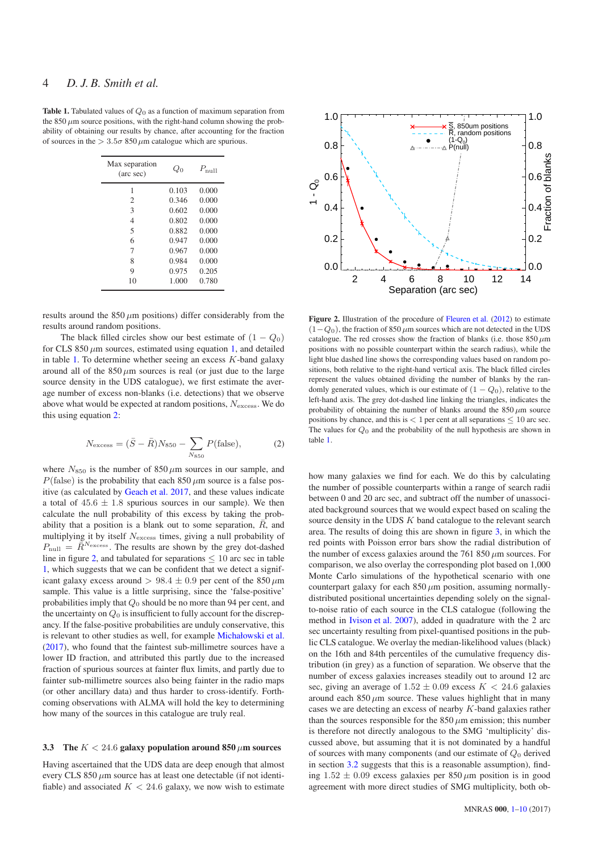<span id="page-3-1"></span>**Table 1.** Tabulated values of  $Q_0$  as a function of maximum separation from the 850  $\mu$ m source positions, with the right-hand column showing the probability of obtaining our results by chance, after accounting for the fraction of sources in the  $> 3.5\sigma$  850  $\mu$ m catalogue which are spurious.

| $P_{\text{null}}$<br>Qο |
|-------------------------|
| 0.000<br>0.103          |
| 0.000<br>0.346          |
| 0.000<br>0.602          |
| 0.000<br>0.802          |
| 0.882<br>0.000          |
| 0.947<br>0.000          |
| 0.967<br>0.000          |
| 0.984<br>0.000          |
| 0.975<br>0.205          |
| 1.000<br>0.780          |
|                         |

results around the  $850 \mu m$  positions) differ considerably from the results around random positions.

The black filled circles show our best estimate of  $(1 - Q_0)$ for CLS 850  $\mu$ m sources, estimated using equation [1,](#page-2-2) and detailed in table [1.](#page-3-1) To determine whether seeing an excess  $K$ -band galaxy around all of the  $850 \mu m$  sources is real (or just due to the large source density in the UDS catalogue), we first estimate the average number of excess non-blanks (i.e. detections) that we observe above what would be expected at random positions,  $N_{\text{excess}}$ . We do this using equation [2:](#page-3-2)

<span id="page-3-2"></span>
$$
N_{\text{excess}} = (\bar{S} - \bar{R})N_{850} - \sum_{N_{850}} P(\text{false}),\tag{2}
$$

where  $N_{850}$  is the number of  $850 \mu m$  sources in our sample, and  $P$ (false) is the probability that each 850  $\mu$ m source is a false positive (as calculated by [Geach et al. 2017](#page-9-35), and these values indicate a total of  $45.6 \pm 1.8$  spurious sources in our sample). We then calculate the null probability of this excess by taking the probability that a position is a blank out to some separation,  $\bar{R}$ , and multiplying it by itself  $N_{\text{excess}}$  times, giving a null probability of  $P_{\text{null}} = \overline{\tilde{R}}^{N_{\text{excess}}}$ . The results are shown by the grey dot-dashed line in figure [2,](#page-3-0) and tabulated for separations  $\leq 10$  arc sec in table [1,](#page-3-1) which suggests that we can be confident that we detect a significant galaxy excess around  $> 98.4 \pm 0.9$  per cent of the 850  $\mu$ m sample. This value is a little surprising, since the 'false-positive' probabilities imply that Q<sup>0</sup> should be no more than 94 per cent, and the uncertainty on  $Q_0$  is insufficient to fully account for the discrepancy. If the false-positive probabilities are unduly conservative, this is relevant to other studies as well, for example [Michałowski et al.](#page-9-15) [\(2017](#page-9-15)), who found that the faintest sub-millimetre sources have a lower ID fraction, and attributed this partly due to the increased fraction of spurious sources at fainter flux limits, and partly due to fainter sub-millimetre sources also being fainter in the radio maps (or other ancillary data) and thus harder to cross-identify. Forthcoming observations with ALMA will hold the key to determining how many of the sources in this catalogue are truly real.

# <span id="page-3-3"></span>3.3 The  $K < 24.6$  galaxy population around 850  $\mu$ m sources

Having ascertained that the UDS data are deep enough that almost every CLS 850  $\mu$ m source has at least one detectable (if not identifiable) and associated  $K < 24.6$  galaxy, we now wish to estimate



<span id="page-3-0"></span>Figure 2. Illustration of the procedure of [Fleuren et al.](#page-9-24) [\(2012\)](#page-9-24) to estimate  $(1-Q<sub>0</sub>)$ , the fraction of 850  $\mu$ m sources which are not detected in the UDS catalogue. The red crosses show the fraction of blanks (i.e. those  $850 \mu m$ positions with no possible counterpart within the search radius), while the light blue dashed line shows the corresponding values based on random positions, both relative to the right-hand vertical axis. The black filled circles represent the values obtained dividing the number of blanks by the randomly generated values, which is our estimate of  $(1 - Q_0)$ , relative to the left-hand axis. The grey dot-dashed line linking the triangles, indicates the probability of obtaining the number of blanks around the  $850 \mu m$  source positions by chance, and this is  $< 1$  per cent at all separations  $\leq 10$  arc sec. The values for  $Q_0$  and the probability of the null hypothesis are shown in table [1.](#page-3-1)

how many galaxies we find for each. We do this by calculating the number of possible counterparts within a range of search radii between 0 and 20 arc sec, and subtract off the number of unassociated background sources that we would expect based on scaling the source density in the UDS  $K$  band catalogue to the relevant search area. The results of doing this are shown in figure [3,](#page-4-1) in which the red points with Poisson error bars show the radial distribution of the number of excess galaxies around the 761 850  $\mu$ m sources. For comparison, we also overlay the corresponding plot based on 1,000 Monte Carlo simulations of the hypothetical scenario with one counterpart galaxy for each  $850 \mu m$  position, assuming normallydistributed positional uncertainties depending solely on the signalto-noise ratio of each source in the CLS catalogue (following the method in [Ivison et al. 2007](#page-9-2)), added in quadrature with the 2 arc sec uncertainty resulting from pixel-quantised positions in the public CLS catalogue. We overlay the median-likelihood values (black) on the 16th and 84th percentiles of the cumulative frequency distribution (in grey) as a function of separation. We observe that the number of excess galaxies increases steadily out to around 12 arc sec, giving an average of  $1.52 \pm 0.09$  excess  $K < 24.6$  galaxies around each  $850 \mu m$  source. These values highlight that in many cases we are detecting an excess of nearby K-band galaxies rather than the sources responsible for the 850  $\mu$ m emission; this number is therefore not directly analogous to the SMG 'multiplicity' discussed above, but assuming that it is not dominated by a handful of sources with many components (and our estimate of  $Q_0$  derived in section [3.2](#page-2-3) suggests that this is a reasonable assumption), finding  $1.52 \pm 0.09$  excess galaxies per 850  $\mu$ m position is in good agreement with more direct studies of SMG multiplicity, both ob-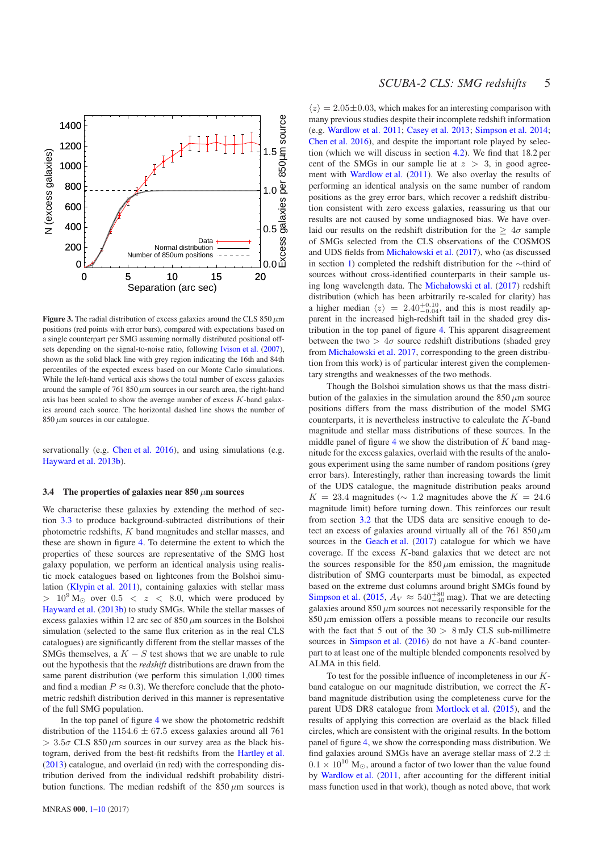

<span id="page-4-1"></span>Figure 3. The radial distribution of excess galaxies around the CLS  $850 \mu m$ positions (red points with error bars), compared with expectations based on a single counterpart per SMG assuming normally distributed positional offsets depending on the signal-to-noise ratio, following [Ivison et al.](#page-9-2) [\(2007](#page-9-2)), shown as the solid black line with grey region indicating the 16th and 84th percentiles of the expected excess based on our Monte Carlo simulations. While the left-hand vertical axis shows the total number of excess galaxies around the sample of 761 850  $\mu$ m sources in our search area, the right-hand axis has been scaled to show the average number of excess  $K$ -band galaxies around each source. The horizontal dashed line shows the number of  $850 \mu m$  sources in our catalogue.

servationally (e.g. [Chen et al. 2016](#page-8-4)), and using simulations (e.g. [Hayward et al. 2013b](#page-9-31)).

## <span id="page-4-0"></span>3.4 The properties of galaxies near  $850 \mu m$  sources

We characterise these galaxies by extending the method of section [3.3](#page-3-3) to produce background-subtracted distributions of their photometric redshifts, K band magnitudes and stellar masses, and these are shown in figure [4.](#page-5-1) To determine the extent to which the properties of these sources are representative of the SMG host galaxy population, we perform an identical analysis using realistic mock catalogues based on lightcones from the Bolshoi simulation [\(Klypin et al. 2011](#page-9-50)), containing galaxies with stellar mass  $> 10^{9}$  M<sub>☉</sub> over  $0.5 < z < 8.0$ , which were produced by [Hayward et al.](#page-9-31) [\(2013b](#page-9-31)) to study SMGs. While the stellar masses of excess galaxies within 12 arc sec of  $850 \mu m$  sources in the Bolshoi simulation (selected to the same flux criterion as in the real CLS catalogues) are significantly different from the stellar masses of the SMGs themselves, a  $K - S$  test shows that we are unable to rule out the hypothesis that the *redshift* distributions are drawn from the same parent distribution (we perform this simulation 1,000 times and find a median  $P \approx 0.3$ ). We therefore conclude that the photometric redshift distribution derived in this manner is representative of the full SMG population.

In the top panel of figure [4](#page-5-1) we show the photometric redshift distribution of the  $1154.6 \pm 67.5$  excess galaxies around all 761  $> 3.5\sigma$  CLS 850  $\mu$ m sources in our survey area as the black histogram, derived from the best-fit redshifts from the [Hartley et al.](#page-9-36) [\(2013](#page-9-36)) catalogue, and overlaid (in red) with the corresponding distribution derived from the individual redshift probability distribution functions. The median redshift of the  $850 \mu m$  sources is

 $\langle z \rangle = 2.05 \pm 0.03$ , which makes for an interesting comparison with many previous studies despite their incomplete redshift information (e.g. [Wardlow et al. 2011;](#page-9-10) [Casey et al. 2013](#page-8-12); [Simpson et al. 2014;](#page-9-44) [Chen et al. 2016](#page-8-4)), and despite the important role played by selection (which we will discuss in section [4.2\)](#page-6-0). We find that 18.2 per cent of the SMGs in our sample lie at  $z > 3$ , in good agreement with [Wardlow et al.](#page-9-10) [\(2011\)](#page-9-10). We also overlay the results of performing an identical analysis on the same number of random positions as the grey error bars, which recover a redshift distribution consistent with zero excess galaxies, reassuring us that our results are not caused by some undiagnosed bias. We have overlaid our results on the redshift distribution for the  $> 4\sigma$  sample of SMGs selected from the CLS observations of the COSMOS and UDS fields from [Michałowski et al.](#page-9-15) [\(2017\)](#page-9-15), who (as discussed in section [1\)](#page-0-0) completed the redshift distribution for the ∼third of sources without cross-identified counterparts in their sample using long wavelength data. The [Michałowski et al.](#page-9-15) [\(2017](#page-9-15)) redshift distribution (which has been arbitrarily re-scaled for clarity) has a higher median  $\langle z \rangle = 2.40^{+0.10}_{-0.04}$ , and this is most readily apparent in the increased high-redshift tail in the shaded grey distribution in the top panel of figure [4.](#page-5-1) This apparent disagreement between the two  $> 4\sigma$  source redshift distributions (shaded grey from [Michałowski et al. 2017](#page-9-15), corresponding to the green distribution from this work) is of particular interest given the complementary strengths and weaknesses of the two methods.

Though the Bolshoi simulation shows us that the mass distribution of the galaxies in the simulation around the  $850 \mu m$  source positions differs from the mass distribution of the model SMG counterparts, it is nevertheless instructive to calculate the K-band magnitude and stellar mass distributions of these sources. In the middle panel of figure [4](#page-5-1) we show the distribution of  $K$  band magnitude for the excess galaxies, overlaid with the results of the analogous experiment using the same number of random positions (grey error bars). Interestingly, rather than increasing towards the limit of the UDS catalogue, the magnitude distribution peaks around  $K = 23.4$  magnitudes ( $\sim 1.2$  magnitudes above the  $K = 24.6$ magnitude limit) before turning down. This reinforces our result from section [3.2](#page-2-3) that the UDS data are sensitive enough to detect an excess of galaxies around virtually all of the 761 850  $\mu$ m sources in the [Geach et al.](#page-9-35) [\(2017](#page-9-35)) catalogue for which we have coverage. If the excess  $K$ -band galaxies that we detect are not the sources responsible for the  $850 \mu m$  emission, the magnitude distribution of SMG counterparts must be bimodal, as expected based on the extreme dust columns around bright SMGs found by [Simpson et al.](#page-9-26) [\(2015,](#page-9-26)  $A_V \approx 540^{+80}_{-40}$  mag). That we are detecting galaxies around  $850 \mu m$  sources not necessarily responsible for the  $850 \mu m$  emission offers a possible means to reconcile our results with the fact that 5 out of the  $30 > 8$  mJy CLS sub-millimetre sources in [Simpson et al.](#page-9-51)  $(2016)$  $(2016)$  do not have a K-band counterpart to at least one of the multiple blended components resolved by ALMA in this field.

To test for the possible influence of incompleteness in our  $K$ band catalogue on our magnitude distribution, we correct the Kband magnitude distribution using the completeness curve for the parent UDS DR8 catalogue from [Mortlock et al.](#page-9-52) [\(2015](#page-9-52)), and the results of applying this correction are overlaid as the black filled circles, which are consistent with the original results. In the bottom panel of figure [4,](#page-5-1) we show the corresponding mass distribution. We find galaxies around SMGs have an average stellar mass of  $2.2 \pm$  $0.1 \times 10^{10}$  M<sub>☉</sub>, around a factor of two lower than the value found by [Wardlow et al.](#page-9-10) [\(2011](#page-9-10), after accounting for the different initial mass function used in that work), though as noted above, that work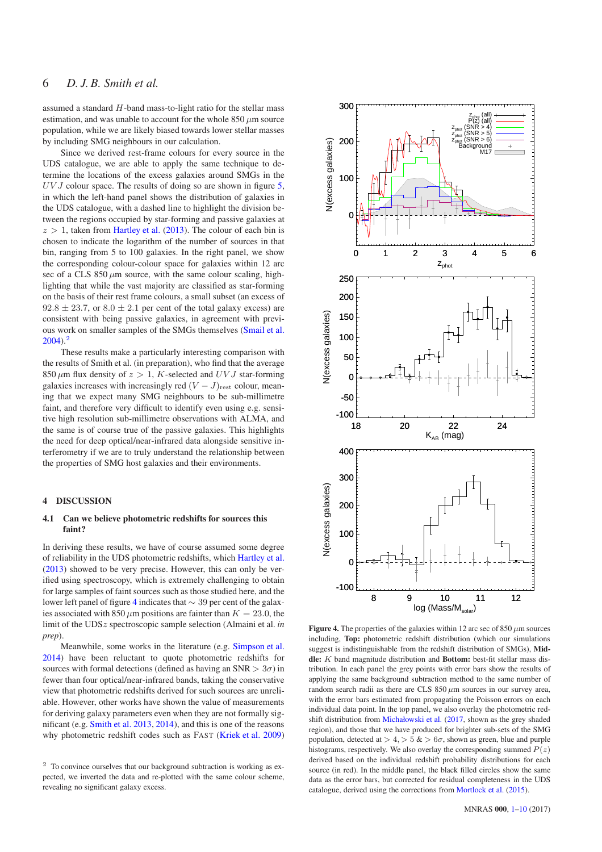assumed a standard H-band mass-to-light ratio for the stellar mass estimation, and was unable to account for the whole  $850 \mu m$  source population, while we are likely biased towards lower stellar masses by including SMG neighbours in our calculation.

Since we derived rest-frame colours for every source in the UDS catalogue, we are able to apply the same technique to determine the locations of the excess galaxies around SMGs in the  $UVJ$  colour space. The results of doing so are shown in figure [5,](#page-6-1) in which the left-hand panel shows the distribution of galaxies in the UDS catalogue, with a dashed line to highlight the division between the regions occupied by star-forming and passive galaxies at  $z > 1$ , taken from [Hartley et al.](#page-9-36) [\(2013](#page-9-36)). The colour of each bin is chosen to indicate the logarithm of the number of sources in that bin, ranging from 5 to 100 galaxies. In the right panel, we show the corresponding colour-colour space for galaxies within 12 arc sec of a CLS  $850 \mu m$  source, with the same colour scaling, highlighting that while the vast majority are classified as star-forming on the basis of their rest frame colours, a small subset (an excess of  $92.8 \pm 23.7$ , or  $8.0 \pm 2.1$  per cent of the total galaxy excess) are consistent with being passive galaxies, in agreement with previous work on smaller samples of the SMGs themselves [\(Smail et al.](#page-9-53)  $2004$ ).<sup>2</sup>

These results make a particularly interesting comparison with the results of Smith et al. (in preparation), who find that the average 850  $\mu$ m flux density of  $z > 1$ , K-selected and UV J star-forming galaxies increases with increasingly red  $(V - J)_{\text{rest}}$  colour, meaning that we expect many SMG neighbours to be sub-millimetre faint, and therefore very difficult to identify even using e.g. sensitive high resolution sub-millimetre observations with ALMA, and the same is of course true of the passive galaxies. This highlights the need for deep optical/near-infrared data alongside sensitive interferometry if we are to truly understand the relationship between the properties of SMG host galaxies and their environments.

#### <span id="page-5-0"></span>4 DISCUSSION

## 4.1 Can we believe photometric redshifts for sources this faint?

In deriving these results, we have of course assumed some degree of reliability in the UDS photometric redshifts, which [Hartley et al.](#page-9-36) [\(2013](#page-9-36)) showed to be very precise. However, this can only be verified using spectroscopy, which is extremely challenging to obtain for large samples of faint sources such as those studied here, and the lower left panel of figure [4](#page-5-1) indicates that ∼ 39 per cent of the galaxies associated with 850  $\mu$ m positions are fainter than  $K = 23.0$ , the limit of the UDSz spectroscopic sample selection (Almaini et al. *in prep*).

Meanwhile, some works in the literature (e.g. [Simpson et al.](#page-9-44) [2014](#page-9-44)) have been reluctant to quote photometric redshifts for sources with formal detections (defined as having an  $SNR > 3\sigma$ ) in fewer than four optical/near-infrared bands, taking the conservative view that photometric redshifts derived for such sources are unreliable. However, other works have shown the value of measurements for deriving galaxy parameters even when they are not formally significant (e.g. [Smith et al. 2013,](#page-9-54) [2014](#page-9-6)), and this is one of the reasons why photometric redshift codes such as FAST [\(Kriek et al. 2009](#page-9-47))



<span id="page-5-1"></span>Figure 4. The properties of the galaxies within 12 arc sec of 850  $\mu$ m sources including, Top: photometric redshift distribution (which our simulations suggest is indistinguishable from the redshift distribution of SMGs), Middle: *K* band magnitude distribution and Bottom: best-fit stellar mass distribution. In each panel the grey points with error bars show the results of applying the same background subtraction method to the same number of random search radii as there are CLS  $850 \mu m$  sources in our survey area, with the error bars estimated from propagating the Poisson errors on each individual data point. In the top panel, we also overlay the photometric redshift distribution from [Michałowski et al.](#page-9-15) [\(2017,](#page-9-15) shown as the grey shaded region), and those that we have produced for brighter sub-sets of the SMG population, detected at  $> 4$ ,  $> 5$  &  $> 6\sigma$ , shown as green, blue and purple histograms, respectively. We also overlay the corresponding summed  $P(z)$ derived based on the individual redshift probability distributions for each source (in red). In the middle panel, the black filled circles show the same data as the error bars, but corrected for residual completeness in the UDS catalogue, derived using the corrections from [Mortlock et al.](#page-9-52) [\(2015\)](#page-9-52).

<sup>&</sup>lt;sup>2</sup> To convince ourselves that our background subtraction is working as expected, we inverted the data and re-plotted with the same colour scheme, revealing no significant galaxy excess.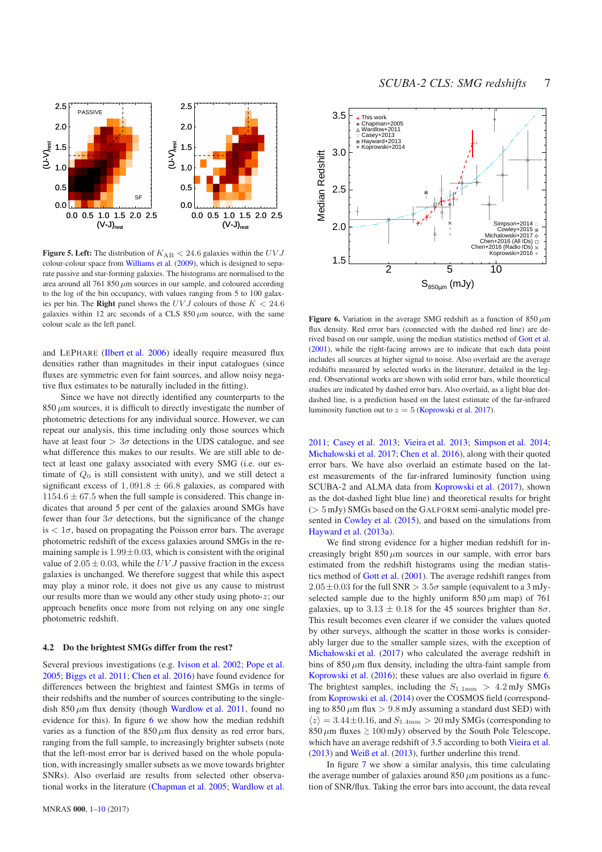

<span id="page-6-1"></span>Figure 5. Left: The distribution of  $K_{AB} < 24.6$  galaxies within the  $UVJ$ colour-colour space from [Williams et al.](#page-9-37) [\(2009](#page-9-37)), which is designed to separate passive and star-forming galaxies. The histograms are normalised to the area around all 761 850  $\mu$ m sources in our sample, and coloured according to the log of the bin occupancy, with values ranging from 5 to 100 galaxies per bin. The **Right** panel shows the  $UVJ$  colours of those  $K < 24.6$ galaxies within 12 arc seconds of a CLS  $850 \mu m$  source, with the same colour scale as the left panel.

and LEPHARE [\(Ilbert et al. 2006](#page-9-55)) ideally require measured flux densities rather than magnitudes in their input catalogues (since fluxes are symmetric even for faint sources, and allow noisy negative flux estimates to be naturally included in the fitting).

Since we have not directly identified any counterparts to the  $850 \mu m$  sources, it is difficult to directly investigate the number of photometric detections for any individual source. However, we can repeat our analysis, this time including only those sources which have at least four  $> 3\sigma$  detections in the UDS catalogue, and see what difference this makes to our results. We are still able to detect at least one galaxy associated with every SMG (i.e. our estimate of  $Q_0$  is still consistent with unity), and we still detect a significant excess of  $1,091.8 \pm 66.8$  galaxies, as compared with  $1154.6 \pm 67.5$  when the full sample is considered. This change indicates that around 5 per cent of the galaxies around SMGs have fewer than four  $3\sigma$  detections, but the significance of the change is  $< 1\sigma$ , based on propagating the Poisson error bars. The average photometric redshift of the excess galaxies around SMGs in the remaining sample is  $1.99 \pm 0.03$ , which is consistent with the original value of  $2.05 \pm 0.03$ , while the UV J passive fraction in the excess galaxies is unchanged. We therefore suggest that while this aspect may play a minor role, it does not give us any cause to mistrust our results more than we would any other study using photo- $z$ ; our approach benefits once more from not relying on any one single photometric redshift.

## <span id="page-6-0"></span>4.2 Do the brightest SMGs differ from the rest?

Several previous investigations (e.g. [Ivison et al. 2002](#page-9-7); [Pope et al.](#page-9-56) [2005](#page-9-56); [Biggs et al. 2011;](#page-8-13) [Chen et al. 2016](#page-8-4)) have found evidence for differences between the brightest and faintest SMGs in terms of their redshifts and the number of sources contributing to the singledish  $850 \mu m$  flux density (though [Wardlow et al. 2011](#page-9-10), found no evidence for this). In figure  $6$  we show how the median redshift varies as a function of the  $850 \mu m$  flux density as red error bars, ranging from the full sample, to increasingly brighter subsets (note that the left-most error bar is derived based on the whole population, with increasingly smaller subsets as we move towards brighter SNRs). Also overlaid are results from selected other observational works in the literature [\(Chapman et al. 2005](#page-8-3); [Wardlow et al.](#page-9-10)



<span id="page-6-2"></span>**Figure 6.** Variation in the average SMG redshift as a function of  $850 \mu m$ flux density. Red error bars (connected with the dashed red line) are derived based on our sample, using the median statistics method of [Gott et al.](#page-9-57) [\(2001\)](#page-9-57), while the right-facing arrows are to indicate that each data point includes all sources at higher signal to noise. Also overlaid are the average redshifts measured by selected works in the literature, detailed in the legend. Observational works are shown with solid error bars, while theoretical studies are indicated by dashed error bars. Also overlaid, as a light blue dotdashed line, is a prediction based on the latest estimate of the far-infrared luminosity function out to  $z = 5$  [\(Koprowski et al. 2017\)](#page-9-58).

[2011](#page-9-10); [Casey et al. 2013;](#page-8-12) [Vieira et al. 2013](#page-9-59); [Simpson et al. 2014;](#page-9-44) [Michałowski et al. 2017](#page-9-15); [Chen et al. 2016](#page-8-4)), along with their quoted error bars. We have also overlaid an estimate based on the latest measurements of the far-infrared luminosity function using SCUBA-2 and ALMA data from [Koprowski et al.](#page-9-58) [\(2017\)](#page-9-58), shown as the dot-dashed light blue line) and theoretical results for bright  $($   $>$  5 mJy) SMGs based on the GALFORM semi-analytic model presented in [Cowley et al.](#page-9-32) [\(2015](#page-9-32)), and based on the simulations from [Hayward et al.](#page-9-12) [\(2013a](#page-9-12)).

We find strong evidence for a higher median redshift for increasingly bright  $850 \mu m$  sources in our sample, with error bars estimated from the redshift histograms using the median statistics method of [Gott et al.](#page-9-57) [\(2001\)](#page-9-57). The average redshift ranges from  $2.05\pm0.03$  for the full SNR  $> 3.5\sigma$  sample (equivalent to a 3 mJyselected sample due to the highly uniform  $850 \mu m$  map) of 761 galaxies, up to  $3.13 \pm 0.18$  for the 45 sources brighter than  $8\sigma$ . This result becomes even clearer if we consider the values quoted by other surveys, although the scatter in those works is considerably larger due to the smaller sample sizes, with the exception of [Michałowski et al.](#page-9-15) [\(2017\)](#page-9-15) who calculated the average redshift in bins of  $850 \mu m$  flux density, including the ultra-faint sample from [Koprowski et al.](#page-9-14) [\(2016](#page-9-14)); these values are also overlaid in figure [6.](#page-6-2) The brightest samples, including the  $S_{1.1\text{mm}} > 4.2 \text{ mJy}$  SMGs from [Koprowski et al.](#page-9-13) [\(2014](#page-9-13)) over the COSMOS field (corresponding to 850  $\mu$ m flux  $> 9.8$  mJy assuming a standard dust SED) with  $\langle z \rangle = 3.44 \pm 0.16$ , and  $S_{1.4\text{mm}} > 20$  mJy SMGs (corresponding to 850  $\mu$ m fluxes  $\gtrsim 100$  mJy) observed by the South Pole Telescope, which have an average redshift of 3.5 according to both [Vieira et al.](#page-9-59) [\(2013](#page-9-59)) and [Weiß et al.](#page-9-60) [\(2013](#page-9-60)), further underline this trend.

In figure [7](#page-7-0) we show a similar analysis, this time calculating the average number of galaxies around  $850 \mu m$  positions as a function of SNR/flux. Taking the error bars into account, the data reveal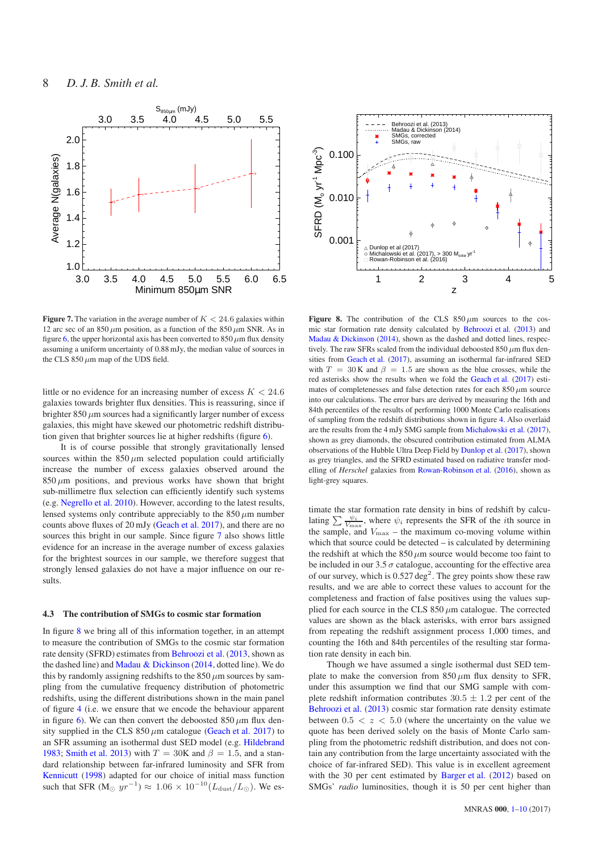

<span id="page-7-0"></span>Figure 7. The variation in the average number of  $K < 24.6$  galaxies within 12 arc sec of an 850  $\mu$ m position, as a function of the 850  $\mu$ m SNR. As in figure [6,](#page-6-2) the upper horizontal axis has been converted to  $850 \mu m$  flux density assuming a uniform uncertainty of 0.88 mJy, the median value of sources in the CLS 850  $\mu$ m map of the UDS field.

little or no evidence for an increasing number of excess  $K < 24.6$ galaxies towards brighter flux densities. This is reassuring, since if brighter  $850 \mu m$  sources had a significantly larger number of excess galaxies, this might have skewed our photometric redshift distribution given that brighter sources lie at higher redshifts (figure [6\)](#page-6-2).

It is of course possible that strongly gravitationally lensed sources within the  $850 \mu m$  selected population could artificially increase the number of excess galaxies observed around the  $850 \mu m$  positions, and previous works have shown that bright sub-millimetre flux selection can efficiently identify such systems (e.g. [Negrello et al. 2010](#page-9-61)). However, according to the latest results, lensed systems only contribute appreciably to the  $850 \mu m$  number counts above fluxes of 20 mJy [\(Geach et al. 2017\)](#page-9-35), and there are no sources this bright in our sample. Since figure [7](#page-7-0) also shows little evidence for an increase in the average number of excess galaxies for the brightest sources in our sample, we therefore suggest that strongly lensed galaxies do not have a major influence on our results.

#### 4.3 The contribution of SMGs to cosmic star formation

In figure [8](#page-7-1) we bring all of this information together, in an attempt to measure the contribution of SMGs to the cosmic star formation rate density (SFRD) estimates from [Behroozi et al.](#page-8-14) [\(2013,](#page-8-14) shown as the dashed line) and [Madau & Dickinson](#page-9-62) [\(2014](#page-9-62), dotted line). We do this by randomly assigning redshifts to the  $850 \mu m$  sources by sampling from the cumulative frequency distribution of photometric redshifts, using the different distributions shown in the main panel of figure [4](#page-5-1) (i.e. we ensure that we encode the behaviour apparent in figure [6\)](#page-6-2). We can then convert the deboosted  $850 \,\mu m$  flux density supplied in the CLS 850  $\mu$ m catalogue [\(Geach et al. 2017](#page-9-35)) to an SFR assuming an isothermal dust SED model (e.g. [Hildebrand](#page-9-63) [1983](#page-9-63); [Smith et al. 2013\)](#page-9-54) with  $T = 30K$  and  $\beta = 1.5$ , and a standard relationship between far-infrared luminosity and SFR from [Kennicutt](#page-9-64) [\(1998](#page-9-64)) adapted for our choice of initial mass function such that SFR (M<sub>☉</sub>  $yr^{-1}$ )  $\approx 1.06 \times 10^{-10} (L_{\text{dust}}/L_{\odot})$ . We es-



<span id="page-7-1"></span>Figure 8. The contribution of the CLS  $850 \mu m$  sources to the cosmic star formation rate density calculated by [Behroozi et al.](#page-8-14) [\(2013\)](#page-8-14) and [Madau & Dickinson](#page-9-62) [\(2014](#page-9-62)), shown as the dashed and dotted lines, respectively. The raw SFRs scaled from the individual deboosted 850  $\mu$ m flux densities from [Geach et al.](#page-9-35) [\(2017](#page-9-35)), assuming an isothermal far-infrared SED with  $T = 30$  K and  $\beta = 1.5$  are shown as the blue crosses, while the red asterisks show the results when we fold the [Geach et al.](#page-9-35) [\(2017\)](#page-9-35) estimates of completenesses and false detection rates for each  $850 \mu m$  source into our calculations. The error bars are derived by measuring the 16th and 84th percentiles of the results of performing 1000 Monte Carlo realisations of sampling from the redshift distributions shown in figure [4.](#page-5-1) Also overlaid are the results from the 4 mJy SMG sample from [Michałowski et al.](#page-9-15) [\(2017\)](#page-9-15), shown as grey diamonds, the obscured contribution estimated from ALMA observations of the Hubble Ultra Deep Field by [Dunlop et al.](#page-9-29) [\(2017](#page-9-29)), shown as grey triangles, and the SFRD estimated based on radiative transfer modelling of *Herschel* galaxies from [Rowan-Robinson et al.](#page-9-65) [\(2016](#page-9-65)), shown as light-grey squares.

timate the star formation rate density in bins of redshift by calculating  $\sum \frac{\psi_i}{V_{\text{max}}}$ , where  $\psi_i$  represents the SFR of the *i*th source in the sample, and  $V_{\text{max}}$  – the maximum co-moving volume within which that source could be detected – is calculated by determining the redshift at which the  $850 \mu m$  source would become too faint to be included in our 3.5  $\sigma$  catalogue, accounting for the effective area of our survey, which is  $0.527 \text{ deg}^2$ . The grey points show these raw results, and we are able to correct these values to account for the completeness and fraction of false positives using the values supplied for each source in the CLS  $850 \mu m$  catalogue. The corrected values are shown as the black asterisks, with error bars assigned from repeating the redshift assignment process 1,000 times, and counting the 16th and 84th percentiles of the resulting star formation rate density in each bin.

Though we have assumed a single isothermal dust SED template to make the conversion from  $850 \mu m$  flux density to SFR, under this assumption we find that our SMG sample with complete redshift information contributes  $30.5 \pm 1.2$  per cent of the [Behroozi et al.](#page-8-14) [\(2013](#page-8-14)) cosmic star formation rate density estimate between  $0.5 < z < 5.0$  (where the uncertainty on the value we quote has been derived solely on the basis of Monte Carlo sampling from the photometric redshift distribution, and does not contain any contribution from the large uncertainty associated with the choice of far-infrared SED). This value is in excellent agreement with the 30 per cent estimated by [Barger et al.](#page-8-5) [\(2012](#page-8-5)) based on SMGs' *radio* luminosities, though it is 50 per cent higher than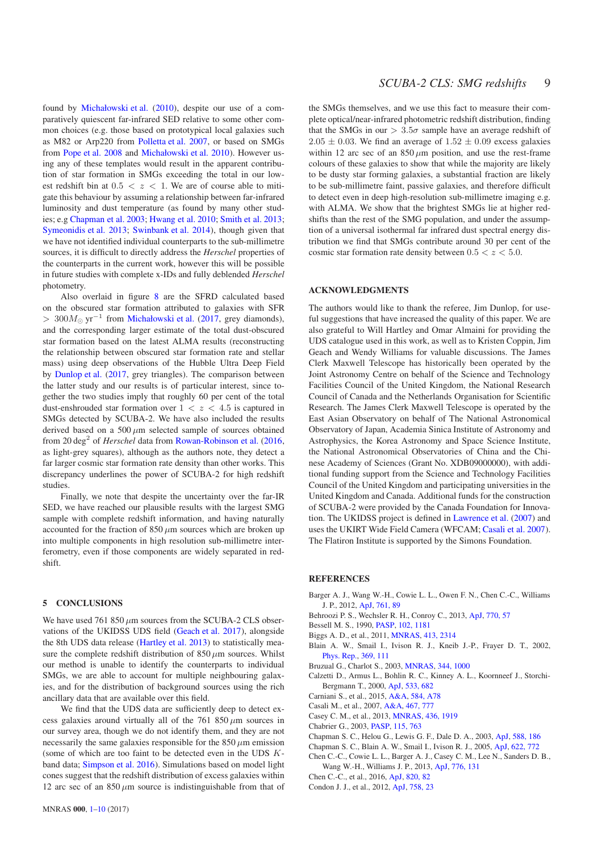found by [Michałowski et al.](#page-9-16) [\(2010\)](#page-9-16), despite our use of a comparatively quiescent far-infrared SED relative to some other common choices (e.g. those based on prototypical local galaxies such as M82 or Arp220 from [Polletta et al. 2007](#page-9-66), or based on SMGs from [Pope et al. 2008](#page-9-67) and [Michałowski et al. 2010\)](#page-9-16). However using any of these templates would result in the apparent contribution of star formation in SMGs exceeding the total in our lowest redshift bin at  $0.5 < z < 1$ . We are of course able to mitigate this behaviour by assuming a relationship between far-infrared luminosity and dust temperature (as found by many other studies; e.g [Chapman et al. 2003](#page-8-15); [Hwang et al. 2010](#page-9-68); [Smith et al. 2013;](#page-9-54) [Symeonidis et al. 2013](#page-9-69); [Swinbank et al. 2014](#page-9-70)), though given that we have not identified individual counterparts to the sub-millimetre sources, it is difficult to directly address the *Herschel* properties of the counterparts in the current work, however this will be possible in future studies with complete x-IDs and fully deblended *Herschel* photometry.

Also overlaid in figure [8](#page-7-1) are the SFRD calculated based on the obscured star formation attributed to galaxies with SFR > 300 $M_{\odot}$  yr<sup>-1</sup> from [Michałowski et al.](#page-9-15) [\(2017](#page-9-15), grey diamonds), and the corresponding larger estimate of the total dust-obscured star formation based on the latest ALMA results (reconstructing the relationship between obscured star formation rate and stellar mass) using deep observations of the Hubble Ultra Deep Field by [Dunlop et al.](#page-9-29) [\(2017](#page-9-29), grey triangles). The comparison between the latter study and our results is of particular interest, since together the two studies imply that roughly 60 per cent of the total dust-enshrouded star formation over  $1 < z < 4.5$  is captured in SMGs detected by SCUBA-2. We have also included the results derived based on a 500  $\mu$ m selected sample of sources obtained from 20 deg<sup>2</sup> of *Herschel* data from [Rowan-Robinson et al.](#page-9-65) [\(2016](#page-9-65), as light-grey squares), although as the authors note, they detect a far larger cosmic star formation rate density than other works. This discrepancy underlines the power of SCUBA-2 for high redshift studies.

Finally, we note that despite the uncertainty over the far-IR SED, we have reached our plausible results with the largest SMG sample with complete redshift information, and having naturally accounted for the fraction of  $850 \mu m$  sources which are broken up into multiple components in high resolution sub-millimetre interferometry, even if those components are widely separated in redshift.

# <span id="page-8-0"></span>5 CONCLUSIONS

We have used 761 850  $\mu$ m sources from the SCUBA-2 CLS observations of the UKIDSS UDS field [\(Geach et al. 2017](#page-9-35)), alongside the 8th UDS data release [\(Hartley et al. 2013\)](#page-9-36) to statistically measure the complete redshift distribution of  $850 \mu m$  sources. Whilst our method is unable to identify the counterparts to individual SMGs, we are able to account for multiple neighbouring galaxies, and for the distribution of background sources using the rich ancillary data that are available over this field.

We find that the UDS data are sufficiently deep to detect excess galaxies around virtually all of the 761 850  $\mu$ m sources in our survey area, though we do not identify them, and they are not necessarily the same galaxies responsible for the 850  $\mu$ m emission (some of which are too faint to be detected even in the UDS Kband data; [Simpson et al. 2016](#page-9-51)). Simulations based on model light cones suggest that the redshift distribution of excess galaxies within 12 arc sec of an  $850 \mu m$  source is indistinguishable from that of the SMGs themselves, and we use this fact to measure their complete optical/near-infrared photometric redshift distribution, finding that the SMGs in our  $> 3.5\sigma$  sample have an average redshift of  $2.05 \pm 0.03$ . We find an average of  $1.52 \pm 0.09$  excess galaxies within 12 arc sec of an  $850 \mu m$  position, and use the rest-frame colours of these galaxies to show that while the majority are likely to be dusty star forming galaxies, a substantial fraction are likely to be sub-millimetre faint, passive galaxies, and therefore difficult to detect even in deep high-resolution sub-millimetre imaging e.g. with ALMA. We show that the brightest SMGs lie at higher redshifts than the rest of the SMG population, and under the assumption of a universal isothermal far infrared dust spectral energy distribution we find that SMGs contribute around 30 per cent of the cosmic star formation rate density between  $0.5 < z < 5.0$ .

# ACKNOWLEDGMENTS

The authors would like to thank the referee, Jim Dunlop, for useful suggestions that have increased the quality of this paper. We are also grateful to Will Hartley and Omar Almaini for providing the UDS catalogue used in this work, as well as to Kristen Coppin, Jim Geach and Wendy Williams for valuable discussions. The James Clerk Maxwell Telescope has historically been operated by the Joint Astronomy Centre on behalf of the Science and Technology Facilities Council of the United Kingdom, the National Research Council of Canada and the Netherlands Organisation for Scientific Research. The James Clerk Maxwell Telescope is operated by the East Asian Observatory on behalf of The National Astronomical Observatory of Japan, Academia Sinica Institute of Astronomy and Astrophysics, the Korea Astronomy and Space Science Institute, the National Astronomical Observatories of China and the Chinese Academy of Sciences (Grant No. XDB09000000), with additional funding support from the Science and Technology Facilities Council of the United Kingdom and participating universities in the United Kingdom and Canada. Additional funds for the construction of SCUBA-2 were provided by the Canada Foundation for Innovation. The UKIDSS project is defined in [Lawrence et al.](#page-9-71) [\(2007\)](#page-9-71) and uses the UKIRT Wide Field Camera (WFCAM; [Casali et al. 2007](#page-8-16)). The Flatiron Institute is supported by the Simons Foundation.

#### **REFERENCES**

- <span id="page-8-5"></span>Barger A. J., Wang W.-H., Cowie L. L., Owen F. N., Chen C.-C., Williams J. P., 2012, [ApJ,](http://dx.doi.org/10.1088/0004-637X/761/2/89) [761, 89](http://adsabs.harvard.edu/abs/2012ApJ...761...89B)
- <span id="page-8-14"></span>Behroozi P. S., Wechsler R. H., Conroy C., 2013, [ApJ,](http://dx.doi.org/10.1088/0004-637X/770/1/57) [770, 57](http://adsabs.harvard.edu/abs/2013ApJ...770...57B)
- <span id="page-8-11"></span>Bessell M. S., 1990, [PASP,](http://dx.doi.org/10.1086/132749) [102, 1181](http://adsabs.harvard.edu/abs/1990PASP..102.1181B)
- <span id="page-8-13"></span>Biggs A. D., et al., 2011, [MNRAS,](http://dx.doi.org/10.1111/j.1365-2966.2010.18132.x) [413, 2314](http://adsabs.harvard.edu/abs/2011MNRAS.413.2314B)
- <span id="page-8-1"></span>Blain A. W., Smail I., Ivison R. J., Kneib J.-P., Frayer D. T., 2002, [Phys. Rep.,](http://dx.doi.org/10.1016/S0370-1573(02)00134-5) [369, 111](http://adsabs.harvard.edu/abs/2002PhR...369..111B)
- <span id="page-8-9"></span>Bruzual G., Charlot S., 2003, [MNRAS,](http://dx.doi.org/10.1046/j.1365-8711.2003.06897.x) [344, 1000](http://adsabs.harvard.edu/abs/2003MNRAS.344.1000B)
- <span id="page-8-10"></span>Calzetti D., Armus L., Bohlin R. C., Kinney A. L., Koornneef J., Storchi-Bergmann T., 2000, [ApJ,](http://dx.doi.org/10.1086/308692) [533, 682](http://adsabs.harvard.edu/abs/2000ApJ...533..682C)
- <span id="page-8-7"></span>Carniani S., et al., 2015, [A&A,](http://dx.doi.org/10.1051/0004-6361/201525780) [584, A78](http://adsabs.harvard.edu/abs/2015A%26A...584A..78C)
- <span id="page-8-16"></span>Casali M., et al., 2007, [A&A,](http://dx.doi.org/10.1051/0004-6361:20066514) [467, 777](http://adsabs.harvard.edu/abs/2007A%26A...467..777C)
- <span id="page-8-12"></span>Casey C. M., et al., 2013, [MNRAS,](http://dx.doi.org/10.1093/mnras/stt1673) [436, 1919](http://adsabs.harvard.edu/abs/2013MNRAS.436.1919C)
- <span id="page-8-8"></span>Chabrier G., 2003, [PASP,](http://dx.doi.org/10.1086/376392) [115, 763](http://adsabs.harvard.edu/abs/2003PASP..115..763C)
- <span id="page-8-15"></span>Chapman S. C., Helou G., Lewis G. F., Dale D. A., 2003, [ApJ,](http://dx.doi.org/10.1086/374038) [588, 186](http://adsabs.harvard.edu/abs/2003ApJ...588..186C)
- <span id="page-8-3"></span>Chapman S. C., Blain A. W., Smail I., Ivison R. J., 2005, [ApJ,](http://dx.doi.org/10.1086/428082) [622, 772](http://adsabs.harvard.edu/abs/2005ApJ...622..772C)
- <span id="page-8-6"></span>Chen C.-C., Cowie L. L., Barger A. J., Casey C. M., Lee N., Sanders D. B., Wang W.-H., Williams J. P., 2013, [ApJ,](http://dx.doi.org/10.1088/0004-637X/776/2/131) [776, 131](http://adsabs.harvard.edu/abs/2013ApJ...776..131C)
- <span id="page-8-4"></span>Chen C.-C., et al., 2016, [ApJ,](http://dx.doi.org/10.3847/0004-637X/820/2/82) [820, 82](http://adsabs.harvard.edu/abs/2016ApJ...820...82C)
- <span id="page-8-2"></span>Condon J. J., et al., 2012, [ApJ,](http://dx.doi.org/10.1088/0004-637X/758/1/23) [758, 23](http://adsabs.harvard.edu/abs/2012ApJ...758...23C)